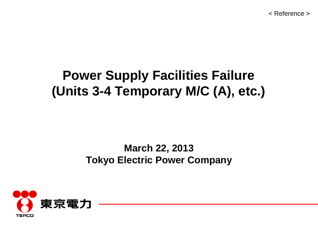< Reference >

# **Power Supply Facilities Failure (Units 3-4 Temporary M/C (A), etc.)**

## **March 22, 2013 Tokyo Electric Power Company**

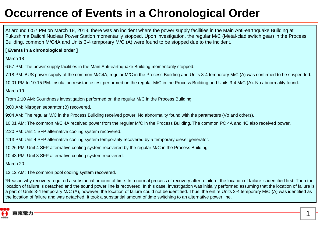# **Occurrence of Events in a Chronological Order**

At around 6:57 PM on March 18, 2013, there was an incident where the power supply facilities in the Main Anti-earthquake Building at Fukushima Daiichi Nuclear Power Station momentarily stopped. Upon investigation, the regular M/C (Metal-clad switch gear) in the Process Building, common M/C4A and Units 3-4 temporary M/C (A) were found to be stopped due to the incident.

#### **[ Events in a chronological order ]**

March 18

6:57 PM: The power supply facilities in the Main Anti-earthquake Building momentarily stopped.

7:18 PM: BUS power supply of the common M/C4A, regular M/C in the Process Building and Units 3-4 temporary M/C (A) was confirmed to be suspended.

10:01 PM to 10:15 PM: Insulation resistance test performed on the regular M/C in the Process Building and Units 3-4 M/C (A). No abnormality found.

March 19

From 2:10 AM: Soundness investigation performed on the regular M/C in the Process Building.

3:00 AM: Nitrogen separator (B) recovered.

9:04 AM: The regular M/C in the Process Building received power. No abnormality found with the parameters (Vo and others).

10:01 AM: The common M/C 4A received power from the regular M/C in the Process Building. The common PC 4A and 4C also received power.

2:20 PM: Unit 1 SFP alternative cooling system recovered.

4:13 PM: Unit 4 SFP alternative cooling system temporarily recovered by a temporary diesel generator.

10:26 PM: Unit 4 SFP alternative cooling system recovered by the regular M/C in the Process Building.

10:43 PM: Unit 3 SFP alternative cooling system recovered.

March 20

12:12 AM: The common pool cooling system recovered.

\*Reason why recovery required a substantial amount of time: In a normal process of recovery after a failure, the location of failure is identified first. Then the location of failure is detached and the sound power line is recovered. In this case, investigation was initially performed assuming that the location of failure is a part of Units 3-4 temporary M/C (A), however, the location of failure could not be identified. Thus, the entire Units 3-4 temporary M/C (A) was identified as the location of failure and was detached. It took a substantial amount of time switching to an alternative power line.

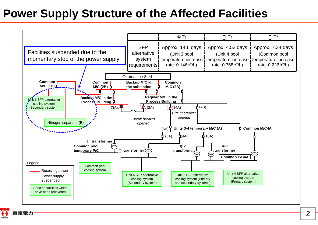# **Power Supply Structure of the Affected Facilities**

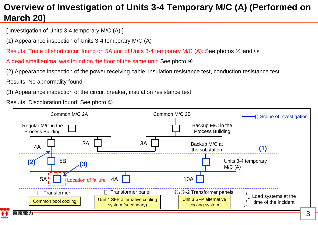## **Overview of Investigation of Units 3-4 Temporary M/C (A) (Performed on March 20)**

[ Investigation of Units 3-4 temporary M/C (A) ]

(1) Appearance inspection of Units 3-4 temporary M/C (A)

Results: Trace of short circuit found on 5A unit of Units 3-4 temporary M/C (A): See photos and

A dead small animal was found on the floor of the same unit: See photo

(2) Appearance inspection of the power receiving cable, insulation resistance test, conduction resistance test

Results: No abnormality found

(3) Appearance inspection of the circuit breaker, insulation resistance test

Results: Discoloration found: See photo

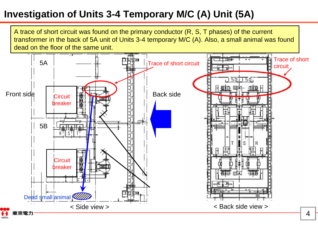# **Investigation of Units 3-4 Temporary M/C (A) Unit (5A)**

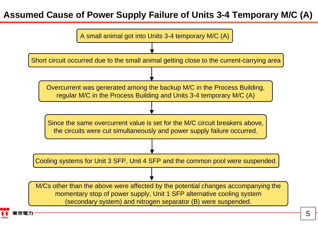## **Assumed Cause of Power Supply Failure of Units 3-4 Temporary M/C (A)**

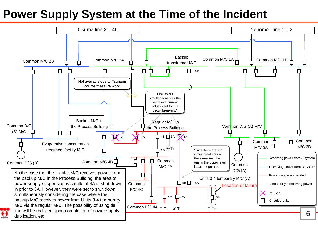# **Power Supply System at the Time of the Incident**

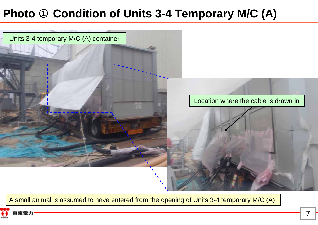#### **Photo Condition of Units 3-4 Temporary M/C (A)**



A small animal is assumed to have entered from the opening of Units 3-4 temporary M/C (A)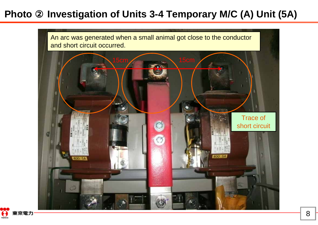#### **Photo Investigation of Units 3-4 Temporary M/C (A) Unit (5A)**



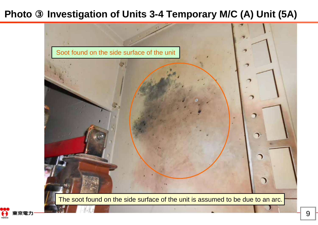#### **Photo** ③**Investigation of Units 3-4 Temporary M/C (A) Unit (5A)**



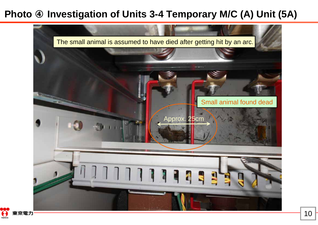#### **Photo Investigation of Units 3-4 Temporary M/C (A) Unit (5A)**



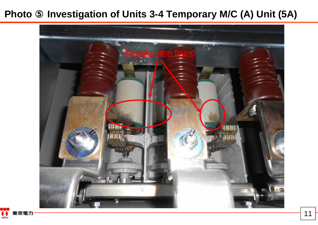#### **Photo** ⑤**Investigation of Units 3-4 Temporary M/C (A) Unit (5A)**



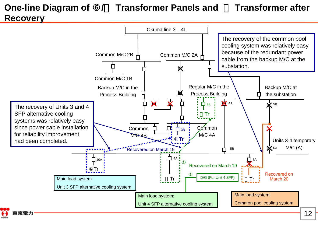## **One-line Diagram of / Transformer Panels and Transformer after Recovery**

克雷士

#### Okuma line 3L, 4L The recovery of the common pool cooling system was relatively easy because of the redundant power Common M/C 2BCommon M/C 2A cable from the backup M/C at the substation.Common M/C 1BRegular M/C in the Backup M/C at Backup M/C in the Process Buildingthe substationProcess Building  $\overline{\textbf{X}}$ **X** 4A X  $\Box$  зв 5B The recovery of Units 3 and 4 SFP alternative cooling ⑪Trsystems was relatively easy since power cable installation Common Common  $\mathsf{\Pi}_{3\mathsf{B}}$ for reliability improvement M/C 4AM/C 4B⑥TrUnits 3-4 temporary had been completed. M/C (A)  $\overline{\mathbf{M}}$  6A 5BRecovered on March 19  $\Box$ 10A 4A 5A $\Box$  5A Recovered on March 19 Л... Tr Recovered on D/G (For Unit 4 SFP) Main load system: March 20Tr Tr Unit 3 SFP alternative cooling system Main load system: Main load system: Common pool cooling system Unit 4 SFP alternative cooling system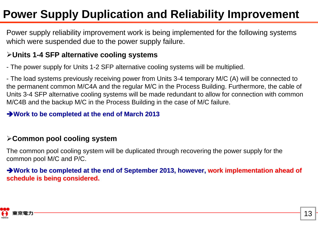# **Power Supply Duplication and Reliability Improvement**

Power supply reliability improvement work is being implemented for the following systems which were suspended due to the power supply failure.

### **Units 1-4 SFP alternative cooling systems**

- The power supply for Units 1-2 SFP alternative cooling systems will be multiplied.

- The load systems previously receiving power from Units 3-4 temporary M/C (A) will be connected to the permanent common M/C4A and the regular M/C in the Process Building. Furthermore, the cable of Units 3-4 SFP alternative cooling systems will be made redundant to allow for connection with common M/C4B and the backup M/C in the Process Building in the case of M/C failure.

### **Work to be completed at the end of March 2013**

### **Common pool cooling system**

The common pool cooling system will be duplicated through recovering the power supply for the common pool M/C and P/C.

### **→ Work to be completed at the end of September 2013, however, work implementation ahead of schedule is being considered. schedule is being considered.**

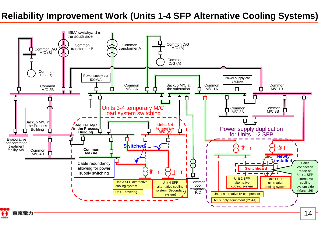## **Reliability Improvement Work (Units 1-4 SFP Alternative Cooling Systems)**